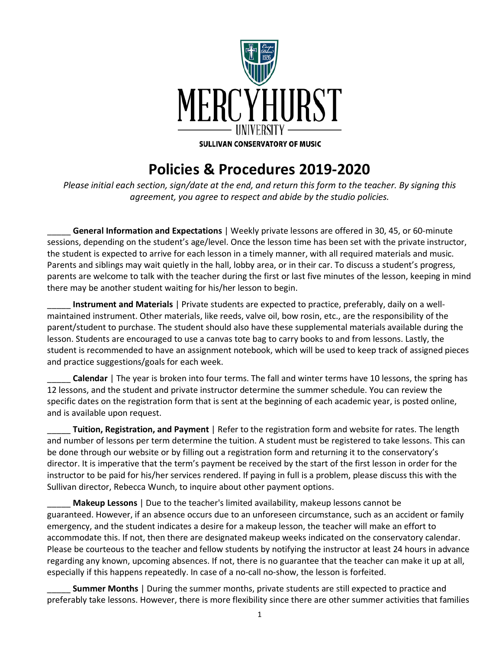

## **Policies & Procedures 2019-2020**

*Please initial each section, sign/date at the end, and return this form to the teacher. By signing this agreement, you agree to respect and abide by the studio policies.* 

\_\_\_\_\_ **General Information and Expectations** | Weekly private lessons are offered in 30, 45, or 60-minute sessions, depending on the student's age/level. Once the lesson time has been set with the private instructor, the student is expected to arrive for each lesson in a timely manner, with all required materials and music. Parents and siblings may wait quietly in the hall, lobby area, or in their car. To discuss a student's progress, parents are welcome to talk with the teacher during the first or last five minutes of the lesson, keeping in mind there may be another student waiting for his/her lesson to begin.

\_\_\_\_\_ **Instrument and Materials** | Private students are expected to practice, preferably, daily on a wellmaintained instrument. Other materials, like reeds, valve oil, bow rosin, etc., are the responsibility of the parent/student to purchase. The student should also have these supplemental materials available during the lesson. Students are encouraged to use a canvas tote bag to carry books to and from lessons. Lastly, the student is recommended to have an assignment notebook, which will be used to keep track of assigned pieces and practice suggestions/goals for each week.

**Calendar** | The year is broken into four terms. The fall and winter terms have 10 lessons, the spring has 12 lessons, and the student and private instructor determine the summer schedule. You can review the specific dates on the registration form that is sent at the beginning of each academic year, is posted online, and is available upon request.

\_\_\_\_\_ **Tuition, Registration, and Payment** | Refer to the registration form and website for rates. The length and number of lessons per term determine the tuition. A student must be registered to take lessons. This can be done through our website or by filling out a registration form and returning it to the conservatory's director. It is imperative that the term's payment be received by the start of the first lesson in order for the instructor to be paid for his/her services rendered. If paying in full is a problem, please discuss this with the Sullivan director, Rebecca Wunch, to inquire about other payment options.

\_\_\_\_\_ **Makeup Lessons** | Due to the teacher's limited availability, makeup lessons cannot be guaranteed. However, if an absence occurs due to an unforeseen circumstance, such as an accident or family emergency, and the student indicates a desire for a makeup lesson, the teacher will make an effort to accommodate this. If not, then there are designated makeup weeks indicated on the conservatory calendar. Please be courteous to the teacher and fellow students by notifying the instructor at least 24 hours in advance regarding any known, upcoming absences. If not, there is no guarantee that the teacher can make it up at all, especially if this happens repeatedly. In case of a no-call no-show, the lesson is forfeited.

**Summer Months** | During the summer months, private students are still expected to practice and preferably take lessons. However, there is more flexibility since there are other summer activities that families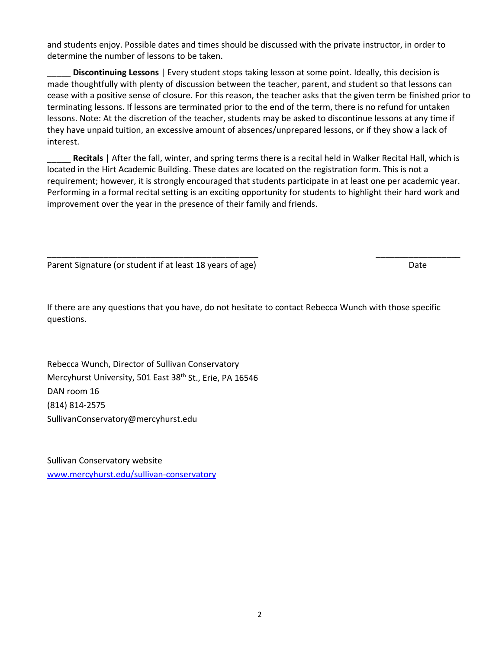and students enjoy. Possible dates and times should be discussed with the private instructor, in order to determine the number of lessons to be taken.

\_\_\_\_\_ **Discontinuing Lessons** | Every student stops taking lesson at some point. Ideally, this decision is made thoughtfully with plenty of discussion between the teacher, parent, and student so that lessons can cease with a positive sense of closure. For this reason, the teacher asks that the given term be finished prior to terminating lessons. If lessons are terminated prior to the end of the term, there is no refund for untaken lessons. Note: At the discretion of the teacher, students may be asked to discontinue lessons at any time if they have unpaid tuition, an excessive amount of absences/unprepared lessons, or if they show a lack of interest.

Recitals | After the fall, winter, and spring terms there is a recital held in Walker Recital Hall, which is located in the Hirt Academic Building. These dates are located on the registration form. This is not a requirement; however, it is strongly encouraged that students participate in at least one per academic year. Performing in a formal recital setting is an exciting opportunity for students to highlight their hard work and improvement over the year in the presence of their family and friends.

\_\_\_\_\_\_\_\_\_\_\_\_\_\_\_\_\_\_\_\_\_\_\_\_\_\_\_\_\_\_\_\_\_\_\_\_\_\_\_\_\_\_\_\_\_ \_\_\_\_\_\_\_\_\_\_\_\_\_\_\_\_\_\_

Parent Signature (or student if at least 18 years of age) Date

If there are any questions that you have, do not hesitate to contact Rebecca Wunch with those specific questions.

Rebecca Wunch, Director of Sullivan Conservatory Mercyhurst University, 501 East 38<sup>th</sup> St., Erie, PA 16546 DAN room 16 (814) 814-2575 SullivanConservatory@mercyhurst.edu

Sullivan Conservatory website [www.mercyhurst.edu/sullivan-conservatory](http://www.mercyhurst.edu/sullivan-conservatory)